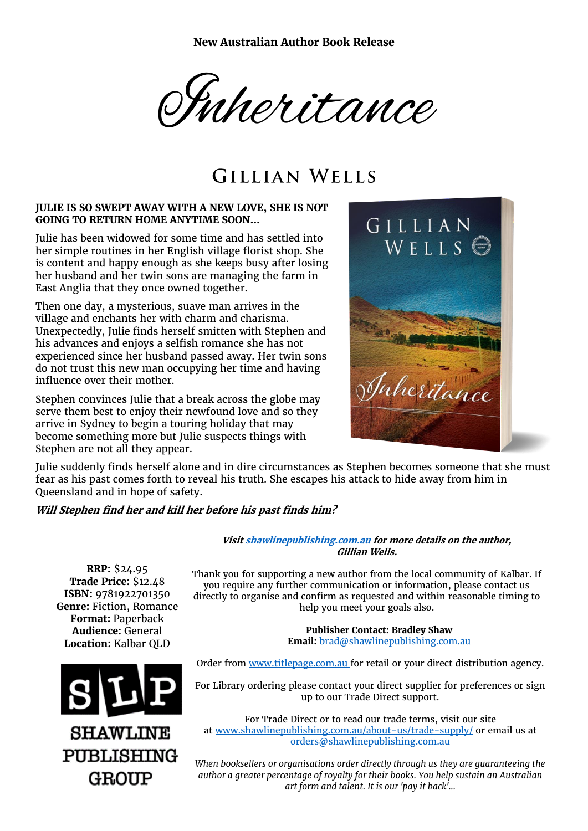**New Australian Author Book Release**

Inheritance

# **GILLIAN WELLS**

### **JULIE IS SO SWEPT AWAY WITH A NEW LOVE, SHE IS NOT GOING TO RETURN HOME ANYTIME SOON…**

Julie has been widowed for some time and has settled into her simple routines in her English village florist shop. She is content and happy enough as she keeps busy after losing her husband and her twin sons are managing the farm in East Anglia that they once owned together.

Then one day, a mysterious, suave man arrives in the village and enchants her with charm and charisma. Unexpectedly, Julie finds herself smitten with Stephen and his advances and enjoys a selfish romance she has not experienced since her husband passed away. Her twin sons do not trust this new man occupying her time and having influence over their mother.

Stephen convinces Julie that a break across the globe may serve them best to enjoy their newfound love and so they arrive in Sydney to begin a touring holiday that may become something more but Julie suspects things with Stephen are not all they appear.



Julie suddenly finds herself alone and in dire circumstances as Stephen becomes someone that she must fear as his past comes forth to reveal his truth. She escapes his attack to hide away from him in Queensland and in hope of safety.

### **Will Stephen find her and kill her before his past finds him?**

**Visi[t shawlinepublishing.com.au](https://www.shawlinepublishing.com.au/our-titles/fiction/display/177-inheritance) for more details on the author, Gillian Wells.**

**RRP:** \$24.95 **Trade Price:** \$12.48 **ISBN:** 9781922701350 **Genre:** Fiction, Romance **Format:** Paperback **Audience:** General **Location:** Kalbar QLD



Thank you for supporting a new author from the local community of Kalbar. If you require any further communication or information, please contact us directly to organise and confirm as requested and within reasonable timing to help you meet your goals also.

> **Publisher Contact: Bradley Shaw Email:** [brad@shawlinepublishing.com.au](mailto:brad@shawlinepublishing.com.au)

Order from [www.titlepage.com.au](http://www.titlepage.com.au/) for retail or your direct distribution agency.

For Library ordering please contact your direct supplier for preferences or sign up to our Trade Direct support.

For Trade Direct or to read our trade terms, visit our site at [www.shawlinepublishing.com.au/about-us/trade-supply/](http://www.shawlinepublishing.com.au/about-us/trade-supply/) or email us at [orders@shawlinepublishing.com.au](mailto:orders@shawlinepublishing.com.au)

*When booksellers or organisations order directly through us they are guaranteeing the author a greater percentage of royalty for their books. You help sustain an Australian art form and talent. It is our 'pay it back'...*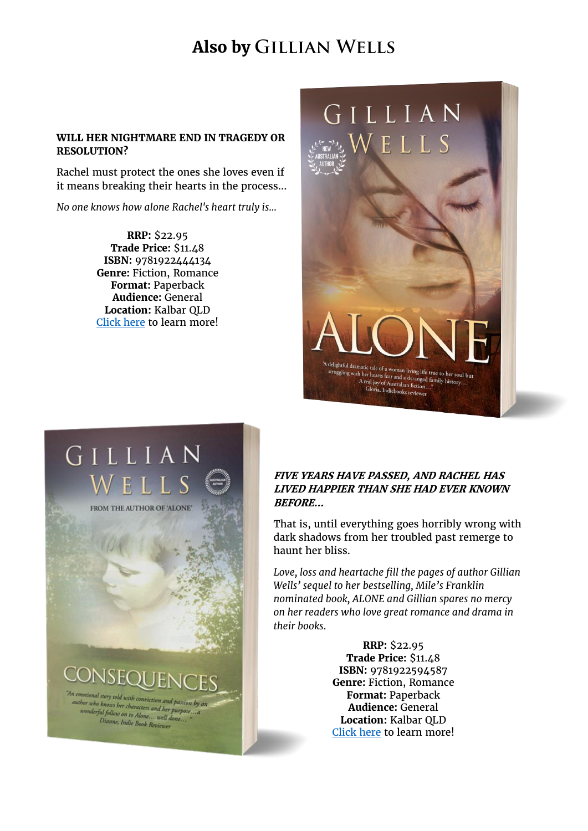# **Also by GILLIAN WELLS**

### **WILL HER NIGHTMARE END IN TRAGEDY OR RESOLUTION?**

Rachel must protect the ones she loves even if it means breaking their hearts in the process...

*No one knows how alone Rachel's heart truly is...*

**RRP:** \$22.95 **Trade Price:** \$11.48 **ISBN:** 9781922444134 **Genre:** Fiction, Romance **Format:** Paperback **Audience:** General **Location:** Kalbar QLD [Click here](https://www.shawlinepublishing.com.au/our-titles/fiction/display/18-alone) to learn more!



# GILLIAN ELL

FROM THE AUTHOR OF 'ALONE'

CONSEQUENO

An emotional story told with conviction and passion by an a emotional story told with conviction and passion by<br>author who knows her characters and her purpose....a ther who knows her characters and her purpose<br>wonderful follow on to Alone... well done...<br>Dianne, Indie Book Duit pu jollow on to Alone... well a<br>Dianne, Indie Book Reviewer

### **FIVE YEARS HAVE PASSED, AND RACHEL HAS LIVED HAPPIER THAN SHE HAD EVER KNOWN BEFORE…**

That is, until everything goes horribly wrong with dark shadows from her troubled past remerge to haunt her bliss.

*Love, loss and heartache fill the pages of author Gillian Wells' sequel to her bestselling, Mile's Franklin nominated book, ALONE and Gillian spares no mercy on her readers who love great romance and drama in their books.*

> **RRP:** \$22.95 **Trade Price:** \$11.48 **ISBN:** 9781922594587 **Genre:** Fiction, Romance **Format:** Paperback **Audience:** General **Location:** Kalbar QLD [Click here](https://www.shawlinepublishing.com.au/our-titles/fiction/display/103-consequences) to learn more!